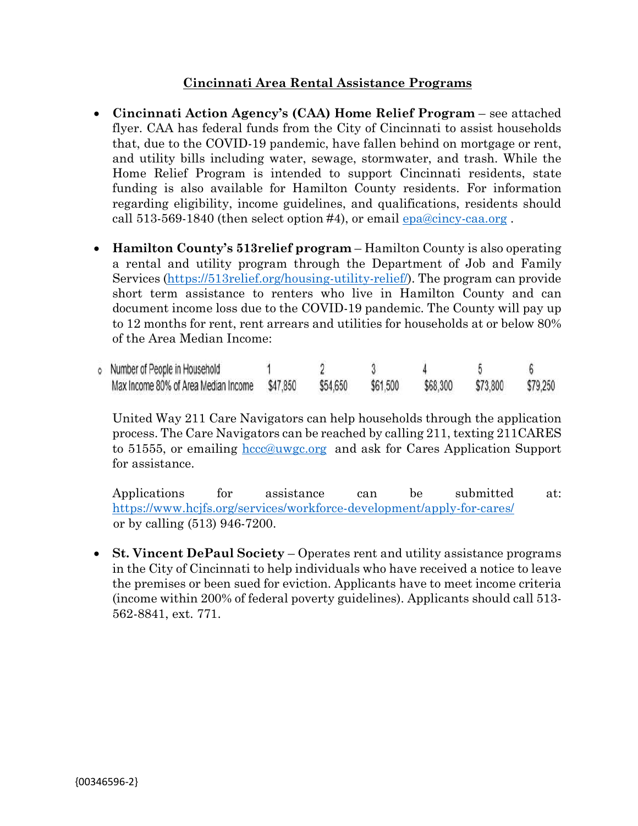## Cincinnati Area Rental Assistance Programs

- Cincinnati Action Agency's (CAA) Home Relief Program see attached flyer. CAA has federal funds from the City of Cincinnati to assist households that, due to the COVID-19 pandemic, have fallen behind on mortgage or rent, and utility bills including water, sewage, stormwater, and trash. While the Home Relief Program is intended to support Cincinnati residents, state funding is also available for Hamilton County residents. For information regarding eligibility, income guidelines, and qualifications, residents should call  $513-569-1840$  (then select option #4), or email epa@cincy-caa.org.
- Hamilton County's 513relief program Hamilton County is also operating a rental and utility program through the Department of Job and Family Services (https://513relief.org/housing-utility-relief/). The program can provide short term assistance to renters who live in Hamilton County and can document income loss due to the COVID-19 pandemic. The County will pay up to 12 months for rent, rent arrears and utilities for households at or below 80% of the Area Median Income:

|  | o Number of People in Household      |          |          |          |          |          |          |
|--|--------------------------------------|----------|----------|----------|----------|----------|----------|
|  | Max Income 80% of Area Median Income | \$47,850 | \$54,650 | \$61,500 | \$68,300 | \$73,800 | \$79,250 |

United Way 211 Care Navigators can help households through the application process. The Care Navigators can be reached by calling 211, texting 211CARES to 51555, or emailing **hexago and asket as a start as a support** for assistance.

Applications for assistance can be submitted at: https://www.hcjfs.org/services/workforce-development/apply-for-cares/ or by calling (513) 946-7200.

 St. Vincent DePaul Society – Operates rent and utility assistance programs in the City of Cincinnati to help individuals who have received a notice to leave the premises or been sued for eviction. Applicants have to meet income criteria (income within 200% of federal poverty guidelines). Applicants should call 513- 562-8841, ext. 771.